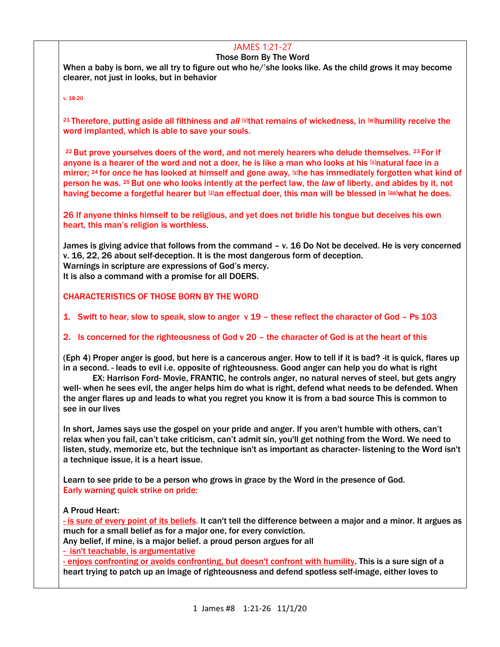# JAMES 1:21-27

#### Those Born By The Word

When a baby is born, we all try to figure out who he/'she looks like. As the child grows it may become clearer, not just in looks, but in behavior

v. 18-20

21 Therefore, putting aside all filthiness and *all* **What remains of wickedness**, in **Whumility receive the** word implanted, which is able to save your souls.

<sup>22</sup> But prove yourselves doers of the word, and not merely hearers who delude themselves. <sup>23</sup> For if anyone is a hearer of the word and not a doer, he is like a man who looks at his  $\boxtimes$ natural face in a mirror; <sup>24</sup> for *once* he has looked at himself and gone away, [\[y\]](https://www.biblegateway.com/passage/?search=jAMES+1&version=NASB#fen-NASB-30291y)he has immediately forgotten what kind of person he was. <sup>25</sup> But one who looks intently at the perfect law, the *law* of liberty, and abides by it, not having become a forgetful hearer but [\[z\]](https://www.biblegateway.com/passage/?search=jAMES+1&version=NASB#fen-NASB-30292z)an effectual doer, this man will be blessed in [\[aa\]](https://www.biblegateway.com/passage/?search=jAMES+1&version=NASB#fen-NASB-30292aa)what he does.

26 If anyone thinks himself to be religious, and yet does not bridle his tongue but deceives his own heart, this man's religion is worthless.

James is giving advice that follows from the command – v. 16 Do Not be deceived. He is very concerned v. 16, 22, 26 about self-deception. It is the most dangerous form of deception. Warnings in scripture are expressions of God's mercy. It is also a command with a promise for all DOERS.

CHARACTERISTICS OF THOSE BORN BY THE WORD

1. Swift to hear, slow to speak, slow to anger v 19 – these reflect the character of God – Ps 103

### 2. Is concerned for the righteousness of God v 20 – the character of God is at the heart of this

(Eph 4) Proper anger is good, but here is a cancerous anger. How to tell if it is bad? -it is quick, flares up in a second. - leads to evil i.e. opposite of righteousness. Good anger can help you do what is right

EX: Harrison Ford- Movie, FRANTIC, he controls anger, no natural nerves of steel, but gets angry well- when he sees evil, the anger helps him do what is right, defend what needs to be defended. When the anger flares up and leads to what you regret you know it is from a bad source This is common to see in our lives

In short, James says use the gospel on your pride and anger. If you aren't humble with others, can't relax when you fail, can't take criticism, can't admit sin, you'll get nothing from the Word. We need to listen, study, memorize etc, but the technique isn't as important as character- listening to the Word isn't a technique issue, it is a heart issue.

Learn to see pride to be a person who grows in grace by the Word in the presence of God. Early warning quick strike on pride:

A Proud Heart:

- is sure of every point of its beliefs. It can't tell the difference between a major and a minor. It argues as much for a small belief as for a major one, for every conviction.

Any belief, if mine, is a major belief. a proud person argues for all

- isn't teachable, is argumentative

- enjoys confronting or avoids confronting, but doesn't confront with humility. This is a sure sign of a heart trying to patch up an image of righteousness and defend spotless self-image, either loves to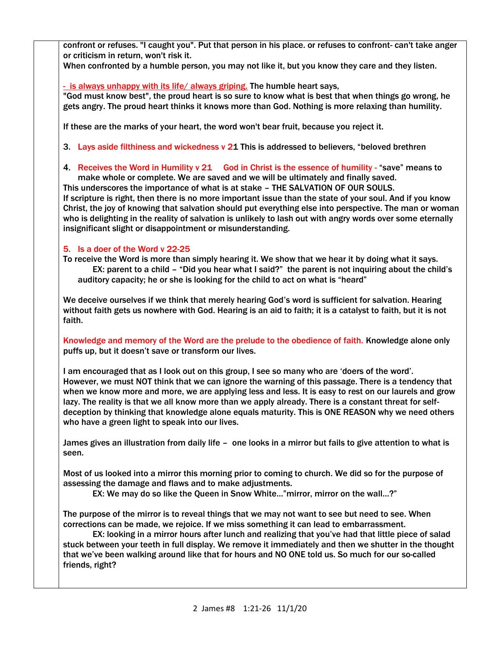confront or refuses. "I caught you". Put that person in his place. or refuses to confront- can't take anger or criticism in return, won't risk it.

When confronted by a humble person, you may not like it, but you know they care and they listen.

- is always unhappy with its life/ always griping. The humble heart says,

"God must know best", the proud heart is so sure to know what is best that when things go wrong, he gets angry. The proud heart thinks it knows more than God. Nothing is more relaxing than humility.

If these are the marks of your heart, the word won't bear fruit, because you reject it.

3. Lays aside filthiness and wickedness v 21 This is addressed to believers, "beloved brethren

4. Receives the Word in Humility v 21 God in Christ is the essence of humility - "save" means to make whole or complete. We are saved and we will be ultimately and finally saved.

This underscores the importance of what is at stake – THE SALVATION OF OUR SOULS. If scripture is right, then there is no more important issue than the state of your soul. And if you know Christ, the joy of knowing that salvation should put everything else into perspective. The man or woman who is delighting in the reality of salvation is unlikely to lash out with angry words over some eternally insignificant slight or disappointment or misunderstanding.

## 5. Is a doer of the Word v 22-25

To receive the Word is more than simply hearing it. We show that we hear it by doing what it says. EX: parent to a child – "Did you hear what I said?" the parent is not inquiring about the child's auditory capacity; he or she is looking for the child to act on what is "heard"

We deceive ourselves if we think that merely hearing God's word is sufficient for salvation. Hearing without faith gets us nowhere with God. Hearing is an aid to faith; it is a catalyst to faith, but it is not faith.

Knowledge and memory of the Word are the prelude to the obedience of faith. Knowledge alone only puffs up, but it doesn't save or transform our lives.

I am encouraged that as I look out on this group, I see so many who are 'doers of the word'. However, we must NOT think that we can ignore the warning of this passage. There is a tendency that when we know more and more, we are applying less and less. It is easy to rest on our laurels and grow lazy. The reality is that we all know more than we apply already. There is a constant threat for selfdeception by thinking that knowledge alone equals maturity. This is ONE REASON why we need others who have a green light to speak into our lives.

James gives an illustration from daily life – one looks in a mirror but fails to give attention to what is seen.

Most of us looked into a mirror this morning prior to coming to church. We did so for the purpose of assessing the damage and flaws and to make adjustments.

EX: We may do so like the Queen in Snow White…"mirror, mirror on the wall…?"

The purpose of the mirror is to reveal things that we may not want to see but need to see. When corrections can be made, we rejoice. If we miss something it can lead to embarrassment.

EX: looking in a mirror hours after lunch and realizing that you've had that little piece of salad stuck between your teeth in full display. We remove it immediately and then we shutter in the thought that we've been walking around like that for hours and NO ONE told us. So much for our so-called friends, right?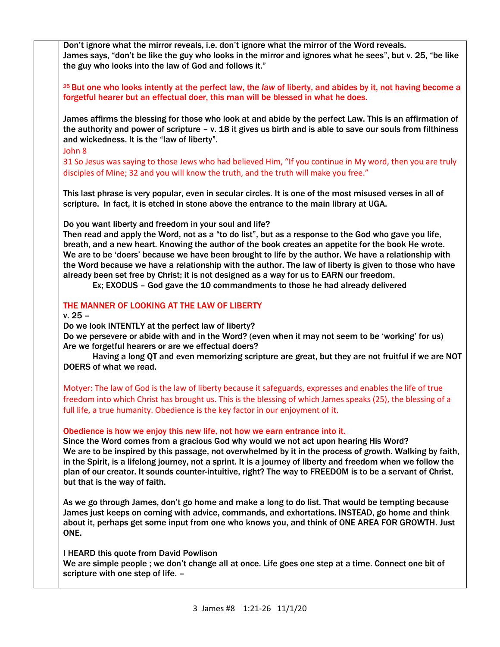Don't ignore what the mirror reveals, i.e. don't ignore what the mirror of the Word reveals. James says, "don't be like the guy who looks in the mirror and ignores what he sees", but v. 25, "be like the guy who looks into the law of God and follows it."

<sup>25</sup> But one who looks intently at the perfect law, the *law* of liberty, and abides by it, not having become a forgetful hearer but an effectual doer, this man will be blessed in what he does.

James affirms the blessing for those who look at and abide by the perfect Law. This is an affirmation of the authority and power of scripture – v. 18 it gives us birth and is able to save our souls from filthiness and wickedness. It is the "law of liberty".

John 8

31 So Jesus was saying to those Jews who had believed Him, "If you continue in My word, then you are truly disciples of Mine; 32 and you will know the truth, and the truth will make you free."

This last phrase is very popular, even in secular circles. It is one of the most misused verses in all of scripture. In fact, it is etched in stone above the entrance to the main library at UGA.

Do you want liberty and freedom in your soul and life?

Then read and apply the Word, not as a "to do list", but as a response to the God who gave you life, breath, and a new heart. Knowing the author of the book creates an appetite for the book He wrote. We are to be 'doers' because we have been brought to life by the author. We have a relationship with the Word because we have a relationship with the author. The law of liberty is given to those who have already been set free by Christ; it is not designed as a way for us to EARN our freedom.

Ex; EXODUS – God gave the 10 commandments to those he had already delivered

### THE MANNER OF LOOKING AT THE LAW OF LIBERTY

v. 25 –

Do we look INTENTLY at the perfect law of liberty?

Do we persevere or abide with and in the Word? (even when it may not seem to be 'working' for us) Are we forgetful hearers or are we effectual doers?

Having a long QT and even memorizing scripture are great, but they are not fruitful if we are NOT DOERS of what we read.

Motyer: The law of God is the law of liberty because it safeguards, expresses and enables the life of true freedom into which Christ has brought us. This is the blessing of which James speaks (25), the blessing of a full life, a true humanity. Obedience is the key factor in our enjoyment of it.

### Obedience is how we enjoy this new life, not how we earn entrance into it.

Since the Word comes from a gracious God why would we not act upon hearing His Word? We are to be inspired by this passage, not overwhelmed by it in the process of growth. Walking by faith, in the Spirit, is a lifelong journey, not a sprint. It is a journey of liberty and freedom when we follow the plan of our creator. It sounds counter-intuitive, right? The way to FREEDOM is to be a servant of Christ, but that is the way of faith.

As we go through James, don't go home and make a long to do list. That would be tempting because James just keeps on coming with advice, commands, and exhortations. INSTEAD, go home and think about it, perhaps get some input from one who knows you, and think of ONE AREA FOR GROWTH. Just ONE.

I HEARD this quote from David Powlison We are simple people ; we don't change all at once. Life goes one step at a time. Connect one bit of scripture with one step of life. –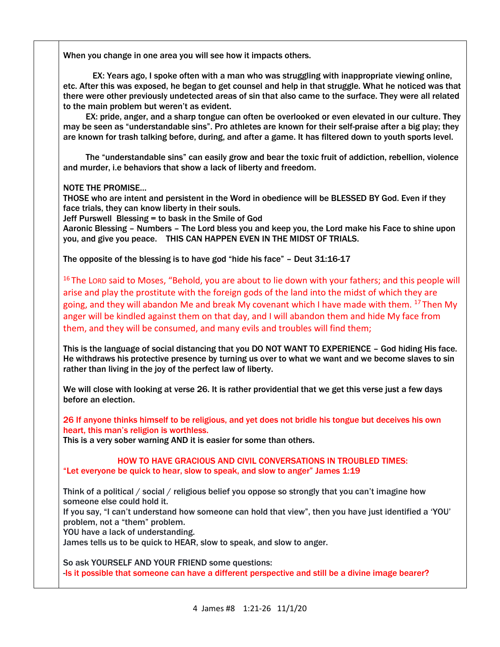When you change in one area you will see how it impacts others.

EX: Years ago, I spoke often with a man who was struggling with inappropriate viewing online, etc. After this was exposed, he began to get counsel and help in that struggle. What he noticed was that there were other previously undetected areas of sin that also came to the surface. They were all related to the main problem but weren't as evident.

 EX: pride, anger, and a sharp tongue can often be overlooked or even elevated in our culture. They may be seen as "understandable sins". Pro athletes are known for their self-praise after a big play; they are known for trash talking before, during, and after a game. It has filtered down to youth sports level.

 The "understandable sins" can easily grow and bear the toxic fruit of addiction, rebellion, violence and murder, i.e behaviors that show a lack of liberty and freedom.

NOTE THE PROMISE…

THOSE who are intent and persistent in the Word in obedience will be BLESSED BY God. Even if they face trials, they can know liberty in their souls.

Jeff Purswell Blessing = to bask in the Smile of God

Aaronic Blessing – Numbers – The Lord bless you and keep you, the Lord make his Face to shine upon you, and give you peace. THIS CAN HAPPEN EVEN IN THE MIDST OF TRIALS.

The opposite of the blessing is to have god "hide his face" – Deut 31:16-17

<sup>16</sup> The LORD said to Moses, "Behold, you are about to lie down with your fathers; and this people will arise and play the prostitute with the foreign gods of the land into the midst of which they are going, and they will abandon Me and break My covenant which I have made with them. <sup>17</sup> Then My anger will be kindled against them on that day, and I will abandon them and hide My face from them, and they will be consumed, and many evils and troubles will find them;

This is the language of social distancing that you DO NOT WANT TO EXPERIENCE – God hiding His face. He withdraws his protective presence by turning us over to what we want and we become slaves to sin rather than living in the joy of the perfect law of liberty.

We will close with looking at verse 26. It is rather providential that we get this verse just a few days before an election.

26 If anyone thinks himself to be religious, and yet does not bridle his tongue but deceives his own heart, this man's religion is worthless.

This is a very sober warning AND it is easier for some than others.

HOW TO HAVE GRACIOUS AND CIVIL CONVERSATIONS IN TROUBLED TIMES: "Let everyone be quick to hear, slow to speak, and slow to anger" James 1:19

Think of a political / social / religious belief you oppose so strongly that you can't imagine how someone else could hold it.

If you say, "I can't understand how someone can hold that view", then you have just identified a 'YOU' problem, not a "them" problem.

YOU have a lack of understanding.

James tells us to be quick to HEAR, slow to speak, and slow to anger.

So ask YOURSELF AND YOUR FRIEND some questions:

-Is it possible that someone can have a different perspective and still be a divine image bearer?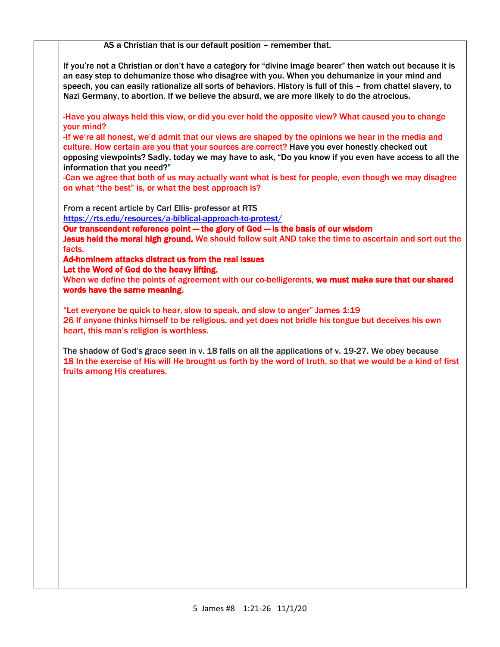AS a Christian that is our default position – remember that.

If you're not a Christian or don't have a category for "divine image bearer" then watch out because it is an easy step to dehumanize those who disagree with you. When you dehumanize in your mind and speech, you can easily rationalize all sorts of behaviors. History is full of this – from chattel slavery, to Nazi Germany, to abortion. If we believe the absurd, we are more likely to do the atrocious.

-Have you always held this view, or did you ever hold the opposite view? What caused you to change your mind?

-If we're all honest, we'd admit that our views are shaped by the opinions we hear in the media and culture. How certain are you that your sources are correct? Have you ever honestly checked out opposing viewpoints? Sadly, today we may have to ask, "Do you know if you even have access to all the information that you need?"

-Can we agree that both of us may actually want what is best for people, even though we may disagree on what "the best" is, or what the best approach is?

From a recent article by Carl Ellis- professor at RTS

<https://rts.edu/resources/a-biblical-approach-to-protest/>

Our transcendent reference point — the glory of God — is the basis of our wisdom

Jesus held the moral high ground. We should follow suit AND take the time to ascertain and sort out the facts.

Ad-hominem attacks distract us from the real issues

Let the Word of God do the heavy lifting.

When we define the points of agreement with our co-belligerents, we must make sure that our shared words have the same meaning.

"Let everyone be quick to hear, slow to speak, and slow to anger" James 1:19 26 If anyone thinks himself to be religious, and yet does not bridle his tongue but deceives his own heart, this man's religion is worthless.

The shadow of God's grace seen in v. 18 falls on all the applications of v. 19-27. We obey because 18 In the exercise of His will He brought us forth by the word of truth, so that we would be a kind of first fruits among His creatures.